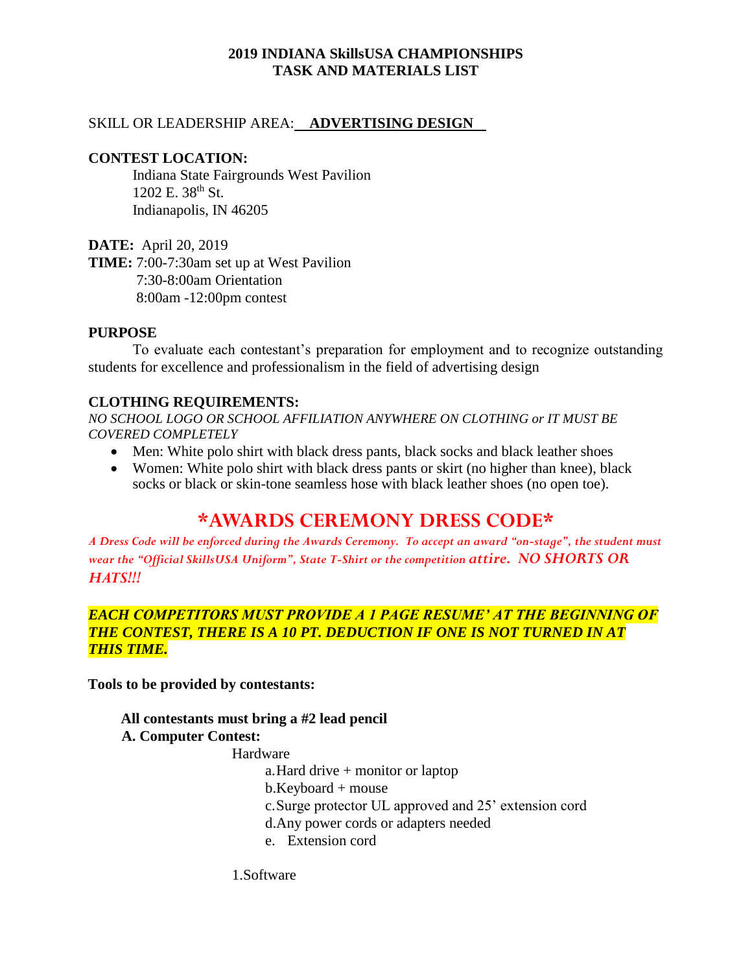# **2019 INDIANA SkillsUSA CHAMPIONSHIPS TASK AND MATERIALS LIST**

#### SKILL OR LEADERSHIP AREA: **ADVERTISING DESIGN**

#### **CONTEST LOCATION:**

Indiana State Fairgrounds West Pavilion 1202 E. 38<sup>th</sup> St. Indianapolis, IN 46205

**DATE:** April 20, 2019 **TIME:** 7:00-7:30am set up at West Pavilion 7:30-8:00am Orientation 8:00am -12:00pm contest

#### **PURPOSE**

To evaluate each contestant's preparation for employment and to recognize outstanding students for excellence and professionalism in the field of advertising design

## **CLOTHING REQUIREMENTS:**

*NO SCHOOL LOGO OR SCHOOL AFFILIATION ANYWHERE ON CLOTHING or IT MUST BE COVERED COMPLETELY*

- Men: White polo shirt with black dress pants, black socks and black leather shoes
- Women: White polo shirt with black dress pants or skirt (no higher than knee), black socks or black or skin-tone seamless hose with black leather shoes (no open toe).

# **\*AWARDS CEREMONY DRESS CODE\***

*A Dress Code will be enforced during the Awards Ceremony. To accept an award "on-stage", the student must wear the "Official SkillsUSA Uniform", State T-Shirt or the competition attire. NO SHORTS OR HATS!!!*

## *EACH COMPETITORS MUST PROVIDE A 1 PAGE RESUME' AT THE BEGINNING OF THE CONTEST, THERE IS A 10 PT. DEDUCTION IF ONE IS NOT TURNED IN AT THIS TIME.*

**Tools to be provided by contestants:**

# **All contestants must bring a #2 lead pencil**

## **A. Computer Contest:**

#### Hardware

a.Hard drive + monitor or laptop

b.Keyboard + mouse

- c.Surge protector UL approved and 25' extension cord
- d.Any power cords or adapters needed
- e. Extension cord

1.Software